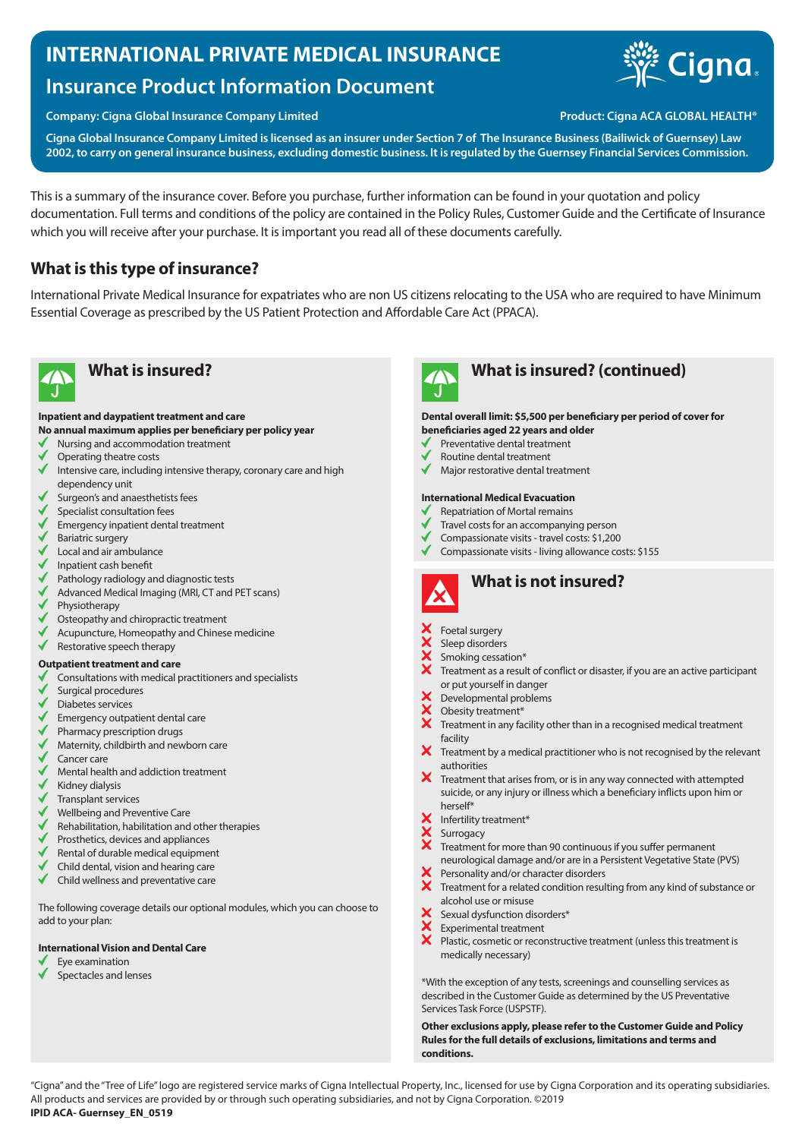# **INTERNATIONAL PRIVATE MEDICAL INSURANCE**

# **Insurance Product Information Document**

## **Company: Cigna Global Insurance Company Limited Product: Cigna ACA GLOBAL HEALTH®**

**Cigna Global Insurance Company Limited is licensed as an insurer under Section 7 of The Insurance Business (Bailiwick of Guernsey) Law 2002, to carry on general insurance business, excluding domestic business. It is regulated by the Guernsey Financial Services Commission.**

This is a summary of the insurance cover. Before you purchase, further information can be found in your quotation and policy documentation. Full terms and conditions of the policy are contained in the Policy Rules, Customer Guide and the Certificate of Insurance which you will receive after your purchase. It is important you read all of these documents carefully.

# **What is this type of insurance?**

International Private Medical Insurance for expatriates who are non US citizens relocating to the USA who are required to have Minimum Essential Coverage as prescribed by the US Patient Protection and Affordable Care Act (PPACA).



# **What is insured? What is insured? (continued)**

### **Inpatient and daypatient treatment and care**

- **No annual maximum applies per beneficiary per policy year**
- Nursing and accommodation treatment
- Operating theatre costs
- $\checkmark$ Intensive care, including intensive therapy, coronary care and high dependency unit
- Surgeon's and anaesthetists fees
- Specialist consultation fees
- Emergency inpatient dental treatment
- Bariatric surgery
- $\bigvee$  Local and air ambulance
- Inpatient cash benefit
- $\checkmark$ Pathology radiology and diagnostic tests
- Advanced Medical Imaging (MRI, CT and PET scans) Physiotherapy
- Osteopathy and chiropractic treatment
- Acupuncture, Homeopathy and Chinese medicine
- $\checkmark$ Restorative speech therapy

### **Outpatient treatment and care**

- $\checkmark$ Consultations with medical practitioners and specialists
- Surgical procedures
- Diabetes services
- ◆ Emergency outpatient dental care
- Pharmacy prescription drugs
- $\checkmark$ Maternity, childbirth and newborn care
- √ Cancer care
- Mental health and addiction treatment
- Kidney dialysis
- Transplant services
- Wellbeing and Preventive Care
- Rehabilitation, habilitation and other therapies
- Prosthetics, devices and appliances
- Rental of durable medical equipment
- Child dental, vision and hearing care
- $\checkmark$ Child wellness and preventative care

The following coverage details our optional modules, which you can choose to add to your plan:

### **International Vision and Dental Care**

- Eye examination
- Spectacles and lenses

# **Dental overall limit: \$5,500 per beneficiary per period of cover for**

- **beneficiaries aged 22 years and older**
- Preventative dental treatment
- Routine dental treatment
- $\checkmark$ Major restorative dental treatment

### **International Medical Evacuation**

- Repatriation of Mortal remains
- Travel costs for an accompanying person
- Compassionate visits travel costs: \$1,200
- Compassionate visits living allowance costs: \$155



# **What is not insured?**

- Foetal surgery
- Sleep disorders
- Smoking cessation\*
- Treatment as a result of conflict or disaster, if you are an active participant or put yourself in danger
- Developmental problems
- Obesity treatment\*
- $\overline{\mathsf{X}}$  Obesity treatment<sup>\*</sup><br> $\overline{\mathsf{X}}$  Treatment in any facility other than in a recognised medical treatment facility
- $\bm{X}$  Treatment by a medical practitioner who is not recognised by the relevant authorities
- $\boldsymbol{X}$  Treatment that arises from, or is in any way connected with attempted suicide, or any injury or illness which a beneficiary inflicts upon him or herself\*
- Infertility treatment\*
- **Surrogacy** 
	- Treatment for more than 90 continuous if you suffer permanent
- neurological damage and/or are in a Persistent Vegetative State (PVS) Personality and/or character disorders
- 
- **X** Treatment for a related condition resulting from any kind of substance or alcohol use or misuse
- Sexual dysfunction disorders\*
- Experimental treatment
- $\overline{\mathbf{x}}$ Plastic, cosmetic or reconstructive treatment (unless this treatment is medically necessary)

\*With the exception of any tests, screenings and counselling services as described in the Customer Guide as determined by the US Preventative Services Task Force (USPSTF).

**Other exclusions apply, please refer to the Customer Guide and Policy Rules for the full details of exclusions, limitations and terms and conditions.**

"Cigna" and the "Tree of Life" logo are registered service marks of Cigna Intellectual Property, Inc., licensed for use by Cigna Corporation and its operating subsidiaries. All products and services are provided by or through such operating subsidiaries, and not by Cigna Corporation. ©2019 **IPID ACA- Guernsey\_EN\_0519**